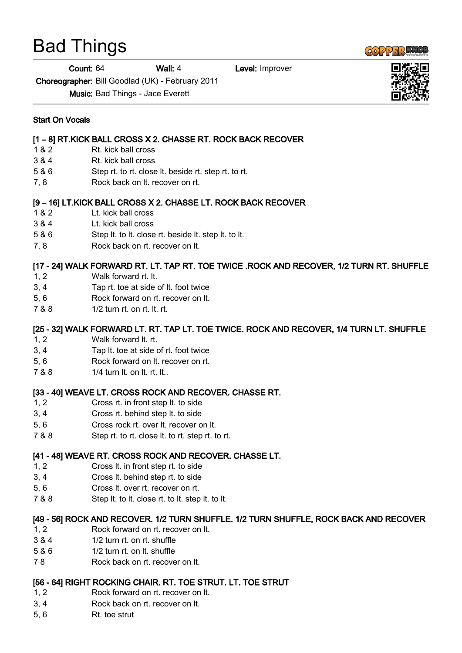# Bad Things

Count: 64 Wall: 4 Level: Improver

Choreographer: Bill Goodlad (UK) - February 2011

Music: Bad Things - Jace Everett

#### Start On Vocals

## [1 – 8] RT.KICK BALL CROSS X 2. CHASSE RT. ROCK BACK RECOVER

- 1 & 2 Rt. kick ball cross
- 3 & 4 Rt. kick ball cross
- 5 & 6 Step rt. to rt. close lt. beside rt. step rt. to rt.
- 7, 8 Rock back on lt. recover on rt.

## [9 – 16] LT.KICK BALL CROSS X 2. CHASSE LT. ROCK BACK RECOVER

- 1 & 2 Lt. kick ball cross
- 3 & 4 Lt. kick ball cross
- 5 & 6 Step lt. to lt. close rt. beside lt. step lt. to lt.
- 7, 8 Rock back on rt. recover on It.

# [17 - 24] WALK FORWARD RT. LT. TAP RT. TOE TWICE .ROCK AND RECOVER, 1/2 TURN RT. SHUFFLE

- 1, 2 Walk forward rt. lt.
- 3, 4 Tap rt. toe at side of lt. foot twice
- 5, 6 Rock forward on rt. recover on lt.
- 7 & 8 1/2 turn rt. on rt. lt. rt.

# [25 - 32] WALK FORWARD LT. RT. TAP LT. TOE TWICE. ROCK AND RECOVER, 1/4 TURN LT. SHUFFLE

- 1, 2 Walk forward lt. rt.
- 3, 4 Tap lt. toe at side of rt. foot twice
- 5, 6 Rock forward on lt. recover on rt.
- 7 & 8 1/4 turn lt. on lt. rt. lt..

## [33 - 40] WEAVE LT. CROSS ROCK AND RECOVER. CHASSE RT.

- 1, 2 Cross rt. in front step lt. to side
- 3, 4 Cross rt. behind step lt. to side
- 5, 6 Cross rock rt. over lt. recover on lt.
- 7 & 8 Step rt. to rt. close lt. to rt. step rt. to rt.

## [41 - 48] WEAVE RT. CROSS ROCK AND RECOVER. CHASSE LT.

- 1, 2 Cross lt. in front step rt. to side
- 3, 4 Cross lt. behind step rt. to side
- 5, 6 Cross lt. over rt. recover on rt.
- 7 & 8 Step lt. to lt. close rt. to lt. step lt. to lt.

## [49 - 56] ROCK AND RECOVER. 1/2 TURN SHUFFLE. 1/2 TURN SHUFFLE, ROCK BACK AND RECOVER

- 1, 2 Rock forward on rt. recover on lt.
- 3 & 4 1/2 turn rt. on rt. shuffle
- 5 & 6 1/2 turn rt. on lt. shuffle
- 7 8 Rock back on rt. recover on lt.

# [56 - 64] RIGHT ROCKING CHAIR. RT. TOE STRUT. LT. TOE STRUT

- 1, 2 Rock forward on rt. recover on lt.
- 3, 4 Rock back on rt. recover on lt.
- 5, 6 Rt. toe strut